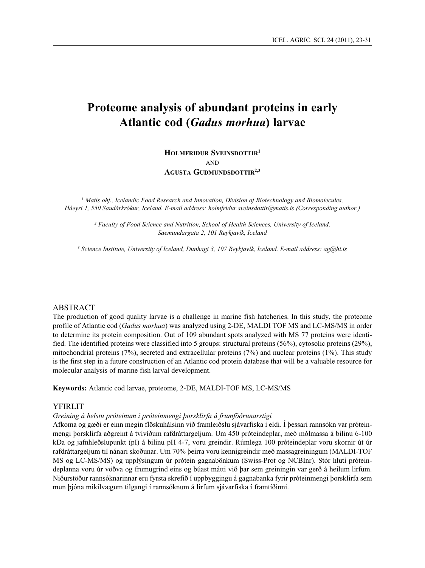# **Proteome analysis of abundant proteins in early Atlantic cod (***Gadus morhua***) larvae**

**Holmfridur Sveinsdottir<sup>1</sup> AND Agusta Gudmundsdottir2,3**

*1 Matís ohf., Icelandic Food Research and Innovation, Division of Biotechnology and Biomolecules, Háeyri 1, 550 Saudárkrókur, Iceland. E-mail address: holmfridur.sveinsdottir@matis.is (Corresponding author.)*

> <sup>2</sup> Faculty of Food Science and Nutrition, School of Health Sciences, University of Iceland, *Saemundargata 2, 101 Reykjavík, Iceland*

<sup>3</sup> Science Institute, University of Iceland, Dunhagi 3, 107 Reykjavík, Iceland. E-mail address: ag@hi.is

### ABSTRACT

The production of good quality larvae is a challenge in marine fish hatcheries. In this study, the proteome profile of Atlantic cod (*Gadus morhua*) was analyzed using 2-DE, MALDI TOF MS and LC-MS/MS in order to determine its protein composition. Out of 109 abundant spots analyzed with MS 77 proteins were identified. The identified proteins were classified into 5 groups: structural proteins (56%), cytosolic proteins (29%), mitochondrial proteins (7%), secreted and extracellular proteins (7%) and nuclear proteins (1%). This study is the first step in a future construction of an Atlantic cod protein database that will be a valuable resource for molecular analysis of marine fish larval development.

**Keywords:** Atlantic cod larvae, proteome, 2-DE, MALDI-TOF MS, LC-MS/MS

### YFIRLIT

*Greining á helstu próteinum í próteinmengi þorsklirfa á frumfóðrunarstigi*

Afkoma og gæði er einn megin flöskuhálsinn við framleiðslu sjávarfiska í eldi. Í þessari rannsókn var próteinmengi þorsklirfa aðgreint á tvívíðum rafdráttargeljum. Um 450 próteindeplar, með mólmassa á bilinu 6-100 kDa og jafnhleðslupunkt (pI) á bilinu pH 4-7, voru greindir. Rúmlega 100 próteindeplar voru skornir út úr rafdráttargeljum til nánari skoðunar. Um 70% þeirra voru kennigreindir með massagreiningum (MALDI-TOF MS og LC-MS/MS) og upplýsingum úr prótein gagnabönkum (Swiss-Prot og NCBInr). Stór hluti próteindeplanna voru úr vöðva og frumugrind eins og búast mátti við þar sem greiningin var gerð á heilum lirfum. Niðurstöður rannsóknarinnar eru fyrsta skrefið í uppbyggingu á gagnabanka fyrir próteinmengi þorsklirfa sem mun þjóna mikilvægum tilgangi í rannsóknum á lirfum sjávarfiska í framtíðinni.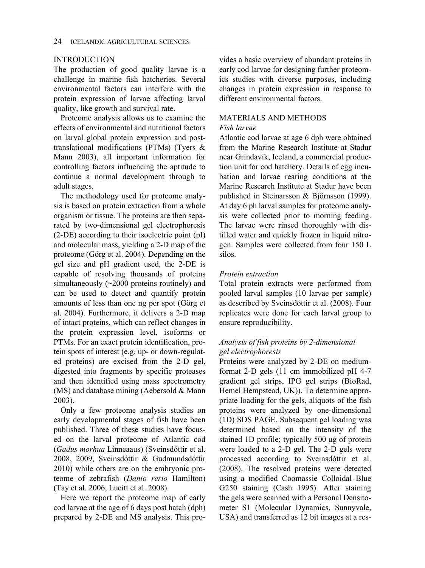### INTRODUCTION

The production of good quality larvae is a challenge in marine fish hatcheries. Several environmental factors can interfere with the protein expression of larvae affecting larval quality, like growth and survival rate.

Proteome analysis allows us to examine the effects of environmental and nutritional factors on larval global protein expression and posttranslational modifications (PTMs) (Tyers & Mann 2003), all important information for controlling factors influencing the aptitude to continue a normal development through to adult stages.

The methodology used for proteome analysis is based on protein extraction from a whole organism or tissue. The proteins are then separated by two-dimensional gel electrophoresis (2-DE) according to their isoelectric point (pI) and molecular mass, yielding a 2-D map of the proteome (Görg et al. 2004). Depending on the gel size and pH gradient used, the 2-DE is capable of resolving thousands of proteins simultaneously (~2000 proteins routinely) and can be used to detect and quantify protein amounts of less than one ng per spot (Görg et al. 2004). Furthermore, it delivers a 2-D map of intact proteins, which can reflect changes in the protein expression level, isoforms or PTMs. For an exact protein identification, protein spots of interest (e.g. up- or down-regulated proteins) are excised from the 2-D gel, digested into fragments by specific proteases and then identified using mass spectrometry (MS) and database mining (Aebersold & Mann 2003).

Only a few proteome analysis studies on early developmental stages of fish have been published. Three of these studies have focused on the larval proteome of Atlantic cod (*Gadus morhua* Linneaaus) (Sveinsdóttir et al. 2008, 2009, Sveinsdóttir & Gudmundsdóttir 2010) while others are on the embryonic proteome of zebrafish (*Danio rerio* Hamilton) (Tay et al. 2006, Lucitt et al. 2008).

Here we report the proteome map of early cod larvae at the age of 6 days post hatch (dph) prepared by 2-DE and MS analysis. This provides a basic overview of abundant proteins in early cod larvae for designing further proteomics studies with diverse purposes, including changes in protein expression in response to different environmental factors.

### MATERIALS AND METHODS

#### *Fish larvae*

Atlantic cod larvae at age 6 dph were obtained from the Marine Research Institute at Stadur near Grindavík, Iceland, a commercial production unit for cod hatchery. Details of egg incubation and larvae rearing conditions at the Marine Research Institute at Stadur have been published in Steinarsson & Björnsson (1999). At day 6 ph larval samples for proteome analysis were collected prior to morning feeding. The larvae were rinsed thoroughly with distilled water and quickly frozen in liquid nitrogen. Samples were collected from four 150 L silos.

### *Protein extraction*

Total protein extracts were performed from pooled larval samples (10 larvae per sample) as described by Sveinsdóttir et al. (2008). Four replicates were done for each larval group to ensure reproducibility.

### *Analysis of fish proteins by 2-dimensional gel electrophoresis*

Proteins were analyzed by 2-DE on mediumformat 2-D gels (11 cm immobilized pH 4-7 gradient gel strips, IPG gel strips (BioRad, Hemel Hempstead, UK)). To determine appropriate loading for the gels, aliquots of the fish proteins were analyzed by one-dimensional (1D) SDS PAGE. Subsequent gel loading was determined based on the intensity of the stained 1D profile; typically 500 µg of protein were loaded to a 2-D gel. The 2-D gels were processed according to Sveinsdóttir et al. (2008). The resolved proteins were detected using a modified Coomassie Colloidal Blue G250 staining (Cash 1995). After staining the gels were scanned with a Personal Densitometer S1 (Molecular Dynamics, Sunnyvale, USA) and transferred as 12 bit images at a res-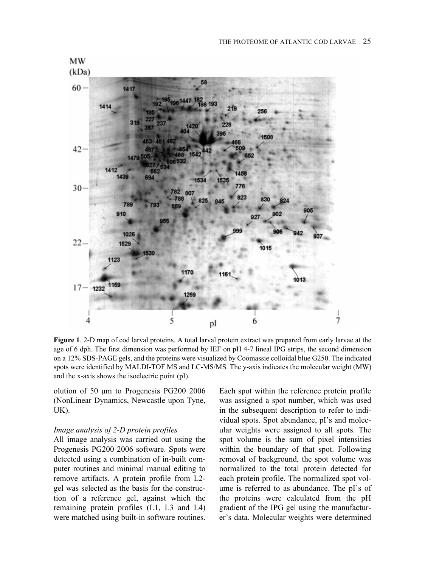

**Figure 1**. 2-D map of cod larval proteins. A total larval protein extract was prepared from early larvae at the age of 6 dph. The first dimension was performed by IEF on pH 4-7 lineal IPG strips, the second dimension on a 12% SDS-PAGE gels, and the proteins were visualized by Coomassie colloidal blue G250. The indicated spots were identified by MALDI-TOF MS and LC-MS/MS. The y-axis indicates the molecular weight (MW) and the x-axis shows the isoelectric point (pI).

olution of 50 µm to Progenesis PG200 2006 (NonLinear Dynamics, Newcastle upon Tyne, UK).

#### *Image analysis of 2-D protein profiles*

All image analysis was carried out using the Progenesis PG200 2006 software. Spots were detected using a combination of in-built computer routines and minimal manual editing to remove artifacts. A protein profile from L2 gel was selected as the basis for the construction of a reference gel, against which the remaining protein profiles (L1, L3 and L4) were matched using built-in software routines.

Each spot within the reference protein profile was assigned a spot number, which was used in the subsequent description to refer to individual spots. Spot abundance, pI's and molecular weights were assigned to all spots. The spot volume is the sum of pixel intensities within the boundary of that spot. Following removal of background, the spot volume was normalized to the total protein detected for each protein profile. The normalized spot volume is referred to as abundance. The pI's of the proteins were calculated from the pH gradient of the IPG gel using the manufacturer's data. Molecular weights were determined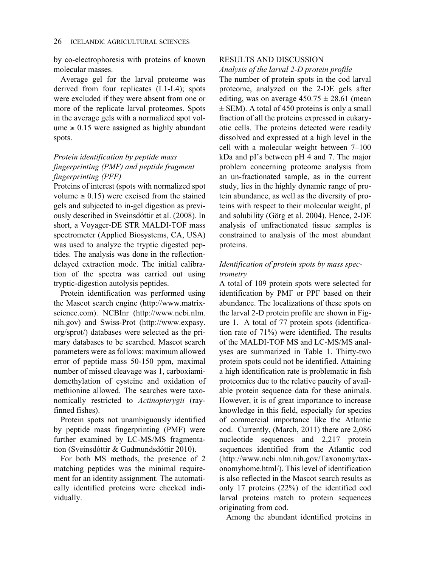by co-electrophoresis with proteins of known molecular masses.

Average gel for the larval proteome was derived from four replicates (L1-L4); spots were excluded if they were absent from one or more of the replicate larval proteomes. Spots in the average gels with a normalized spot vol $ume \geq 0.15$  were assigned as highly abundant spots.

## *Protein identification by peptide mass fingerprinting (PMF) and peptide fragment fingerprinting (PFF)*

Proteins of interest (spots with normalized spot volume  $\geq 0.15$ ) were excised from the stained gels and subjected to in-gel digestion as previously described in Sveinsdóttir et al. (2008). In short, a Voyager-DE STR MALDI-TOF mass spectrometer (Applied Biosystems, CA, USA) was used to analyze the tryptic digested peptides. The analysis was done in the reflectiondelayed extraction mode. The initial calibration of the spectra was carried out using tryptic-digestion autolysis peptides.

Protein identification was performed using the Mascot search engine (http://www.matrixscience.com). NCBInr (http://www.ncbi.nlm. nih.gov) and Swiss-Prot (http://www.expasy. org/sprot/) databases were selected as the primary databases to be searched. Mascot search parameters were as follows: maximum allowed error of peptide mass 50-150 ppm, maximal number of missed cleavage was 1, carboxiamidomethylation of cysteine and oxidation of methionine allowed. The searches were taxonomically restricted to *Actinopterygii* (rayfinned fishes).

Protein spots not unambiguously identified by peptide mass fingerprinting (PMF) were further examined by LC-MS/MS fragmentation (Sveinsdóttir & Gudmundsdóttir 2010).

For both MS methods, the presence of 2 matching peptides was the minimal requirement for an identity assignment. The automatically identified proteins were checked individually.

## RESULTS AND DISCUSSION

*Analysis of the larval 2-D protein profile*

The number of protein spots in the cod larval proteome, analyzed on the 2-DE gels after editing, was on average  $450.75 \pm 28.61$  (mean  $\pm$  SEM). A total of 450 proteins is only a small fraction of all the proteins expressed in eukaryotic cells. The proteins detected were readily dissolved and expressed at a high level in the cell with a molecular weight between 7–100 kDa and pI's between pH 4 and 7. The major problem concerning proteome analysis from an un-fractionated sample, as in the current study, lies in the highly dynamic range of protein abundance, as well as the diversity of proteins with respect to their molecular weight, pI and solubility (Görg et al. 2004). Hence, 2-DE analysis of unfractionated tissue samples is constrained to analysis of the most abundant proteins.

### *Identification of protein spots by mass spectrometry*

A total of 109 protein spots were selected for identification by PMF or PPF based on their abundance. The localizations of these spots on the larval 2-D protein profile are shown in Figure 1. A total of 77 protein spots (identification rate of 71%) were identified. The results of the MALDI-TOF MS and LC-MS/MS analyses are summarized in Table 1. Thirty-two protein spots could not be identified. Attaining a high identification rate is problematic in fish proteomics due to the relative paucity of available protein sequence data for these animals. However, it is of great importance to increase knowledge in this field, especially for species of commercial importance like the Atlantic cod. Currently, (March, 2011) there are 2,086 nucleotide sequences and 2,217 protein sequences identified from the Atlantic cod (http://www.ncbi.nlm.nih.gov/Taxonomy/taxonomyhome.html/). This level of identification is also reflected in the Mascot search results as only 17 proteins (22%) of the identified cod larval proteins match to protein sequences originating from cod.

Among the abundant identified proteins in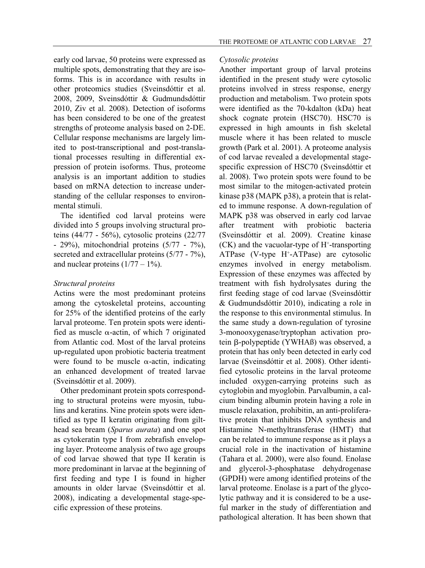early cod larvae, 50 proteins were expressed as multiple spots, demonstrating that they are isoforms. This is in accordance with results in other proteomics studies (Sveinsdóttir et al. 2008, 2009, Sveinsdóttir & Gudmundsdóttir 2010, Ziv et al. 2008). Detection of isoforms has been considered to be one of the greatest strengths of proteome analysis based on 2-DE. Cellular response mechanisms are largely limited to post-transcriptional and post-translational processes resulting in differential expression of protein isoforms. Thus, proteome analysis is an important addition to studies based on mRNA detection to increase understanding of the cellular responses to environmental stimuli.

The identified cod larval proteins were divided into 5 groups involving structural proteins (44/77 - 56%), cytosolic proteins (22/77 - 29%), mitochondrial proteins (5/77 - 7%), secreted and extracellular proteins (5/77 - 7%), and nuclear proteins  $(1/77 - 1\%)$ .

### *Structural proteins*

Actins were the most predominant proteins among the cytoskeletal proteins, accounting for 25% of the identified proteins of the early larval proteome. Ten protein spots were identified as muscle  $\alpha$ -actin, of which 7 originated from Atlantic cod. Most of the larval proteins up-regulated upon probiotic bacteria treatment were found to be muscle  $\alpha$ -actin, indicating an enhanced development of treated larvae (Sveinsdóttir et al. 2009).

Other predominant protein spots corresponding to structural proteins were myosin, tubulins and keratins. Nine protein spots were identified as type II keratin originating from gilthead sea bream (*Sparus aurata*) and one spot as cytokeratin type I from zebrafish enveloping layer. Proteome analysis of two age groups of cod larvae showed that type II keratin is more predominant in larvae at the beginning of first feeding and type I is found in higher amounts in older larvae (Sveinsdóttir et al. 2008), indicating a developmental stage-specific expression of these proteins.

### *Cytosolic proteins*

Another important group of larval proteins identified in the present study were cytosolic proteins involved in stress response, energy production and metabolism. Two protein spots were identified as the 70-kdalton (kDa) heat shock cognate protein (HSC70). HSC70 is expressed in high amounts in fish skeletal muscle where it has been related to muscle growth (Park et al. 2001). A proteome analysis of cod larvae revealed a developmental stagespecific expression of HSC70 (Sveinsdóttir et al. 2008). Two protein spots were found to be most similar to the mitogen-activated protein kinase p38 (MAPK p38), a protein that is related to immune response. A down-regulation of MAPK p38 was observed in early cod larvae after treatment with probiotic bacteria (Sveinsdóttir et al. 2009). Creatine kinase  $(CK)$  and the vacuolar-type of H<sup>+</sup>-transporting ATPase (V-type H+ -ATPase) are cytosolic enzymes involved in energy metabolism. Expression of these enzymes was affected by treatment with fish hydrolysates during the first feeding stage of cod larvae (Sveinsdóttir & Gudmundsdóttir 2010), indicating a role in the response to this environmental stimulus. In the same study a down-regulation of tyrosine 3-monooxygenase/tryptophan activation protein β-polypeptide (YWHAß) was observed, a protein that has only been detected in early cod larvae (Sveinsdóttir et al. 2008). Other identified cytosolic proteins in the larval proteome included oxygen-carrying proteins such as cytoglobin and myoglobin. Parvalbumin, a calcium binding albumin protein having a role in muscle relaxation, prohibitin, an anti-proliferative protein that inhibits DNA synthesis and Histamine N-methyltransferase (HMT) that can be related to immune response as it plays a crucial role in the inactivation of histamine (Tahara et al. 2000), were also found. Enolase and glycerol-3-phosphatase dehydrogenase (GPDH) were among identified proteins of the larval proteome. Enolase is a part of the glycolytic pathway and it is considered to be a useful marker in the study of differentiation and pathological alteration. It has been shown that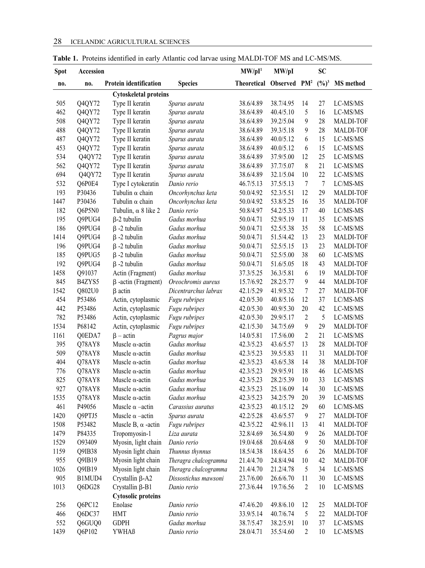| <b>Spot</b>                  | Accession |                               |                       | MW/pI <sup>1</sup>                   | MW/pI     |                  | <b>SC</b>         |                  |  |  |  |
|------------------------------|-----------|-------------------------------|-----------------------|--------------------------------------|-----------|------------------|-------------------|------------------|--|--|--|
| no.                          | no.       | <b>Protein identification</b> | <b>Species</b>        | Theoretical Observed PM <sup>2</sup> |           |                  | $(\frac{0}{0})^3$ | <b>MS</b> method |  |  |  |
| <b>Cytoskeletal proteins</b> |           |                               |                       |                                      |           |                  |                   |                  |  |  |  |
| 505                          | Q4QY72    | Type II keratin               | Sparus aurata         | 38.6/4.89                            | 38.7/4.95 | 14               | 27                | LC-MS/MS         |  |  |  |
| 462                          | Q4QY72    | Type II keratin               | Sparus aurata         | 38.6/4.89                            | 40.4/5.10 | 5                | 16                | LC-MS/MS         |  |  |  |
| 508                          | Q4QY72    | Type II keratin               | Sparus aurata         | 38.6/4.89                            | 39.2/5.04 | $\boldsymbol{9}$ | 28                | <b>MALDI-TOF</b> |  |  |  |
| 488                          | Q4QY72    | Type II keratin               | Sparus aurata         | 38.6/4.89                            | 39.3/5.18 | 9                | 28                | <b>MALDI-TOF</b> |  |  |  |
| 487                          | Q4QY72    | Type II keratin               | Sparus aurata         | 38.6/4.89                            | 40.0/5.12 | 6                | 15                | LC-MS/MS         |  |  |  |
| 453                          | Q4QY72    | Type II keratin               | Sparus aurata         | 38.6/4.89                            | 40.0/5.12 | 6                | 15                | LC-MS/MS         |  |  |  |
| 534                          | Q4QY72    | Type II keratin               | Sparus aurata         | 38.6/4.89                            | 37.9/5.00 | 12               | 25                | LC-MS/MS         |  |  |  |
| 562                          | Q4QY72    | Type II keratin               | Sparus aurata         | 38.6/4.89                            | 37.7/5.07 | 8                | 21                | LC-MS/MS         |  |  |  |
| 694                          | Q4QY72    | Type II keratin               | Sparus aurata         | 38.6/4.89                            | 32.1/5.04 | 10               | 22                | LC-MS/MS         |  |  |  |
| 532                          | Q6P0E4    | Type I cytokeratin            | Danio rerio           | 46.7/5.13                            | 37.5/5.13 | $\tau$           | $\tau$            | LC/MS-MS         |  |  |  |
| 193                          | P30436    | Tubulin $\alpha$ chain        | Oncorhynchus keta     | 50.0/4.92                            | 52.3/5.51 | 12               | 29                | <b>MALDI-TOF</b> |  |  |  |
| 1447                         | P30436    | Tubulin $\alpha$ chain        | Oncorhynchus keta     | 50.0/4.92                            | 53.8/5.25 | 16               | 35                | <b>MALDI-TOF</b> |  |  |  |
| 182                          | Q6P5N0    | Tubulin, $\alpha$ 8 like 2    | Danio rerio           | 50.8/4.97                            | 54.2/5.33 | 17               | 40                | LC/MS-MS         |  |  |  |
| 195                          | Q9PUG4    | $\beta$ -2 tubulin            | Gadus morhua          | 50.0/4.71                            | 52.9/5.19 | 11               | 35                | LC-MS/MS         |  |  |  |
| 186                          | Q9PUG4    | $\beta$ -2 tubulin            | Gadus morhua          | 50.0/4.71                            | 52.5/5.38 | 35               | 58                | LC-MS/MS         |  |  |  |
| 1414                         | Q9PUG4    | $\beta$ -2 tubulin            | Gadus morhua          | 50.0/4.71                            | 51.5/4.42 | 13               | 23                | <b>MALDI-TOF</b> |  |  |  |
| 196                          | Q9PUG4    | $\beta$ -2 tubulin            | Gadus morhua          | 50.0/4.71                            | 52.5/5.15 | 13               | 23                | <b>MALDI-TOF</b> |  |  |  |
| 185                          | Q9PUG5    | $\beta$ -2 tubulin            | Gadus morhua          | 50.0/4.71                            | 52.5/5.00 | 38               | 60                | LC-MS/MS         |  |  |  |
| 192                          | Q9PUG4    | $\beta$ -2 tubulin            | Gadus morhua          | 50.0/4.71                            | 51.6/5.05 | 18               | 43                | MALDI-TOF        |  |  |  |
| 1458                         | Q91037    | Actin (Fragment)              | Gadus morhua          | 37.3/5.25                            | 36.3/5.81 | 6                | 19                | MALDI-TOF        |  |  |  |
| 845                          | B4ZYS5    | $\beta$ -actin (Fragment)     | Oreochromis aureus    | 15.7/6.92                            | 28.2/5.77 | $\boldsymbol{9}$ | 44                | <b>MALDI-TOF</b> |  |  |  |
| 1542                         | Q802U0    | <b>B</b> actin                | Dicentrarchus labrax  | 42.1/5.29                            | 41.9/5.32 | $\tau$           | 27                | <b>MALDI-TOF</b> |  |  |  |
| 454                          | P53486    | Actin, cytoplasmic            | Fugu rubripes         | 42.0/5.30                            | 40.8/5.16 | 12               | 37                | LC/MS-MS         |  |  |  |
| 442                          | P53486    | Actin, cytoplasmic            | Fugu rubripes         | 42.0/5.30                            | 40.9/5.30 | 20               | 42                | LC-MS/MS         |  |  |  |
| 782                          | P53486    | Actin, cytoplasmic            | Fugu rubripes         | 42.0/5.30                            | 29.9/5.17 | 2                | 5                 | LC-MS/MS         |  |  |  |
| 1534                         | P68142    | Actin, cytoplasmic            | Fugu rubripes         | 42.1/5.30                            | 34.7/5.69 | $\boldsymbol{9}$ | 29                | <b>MALDI-TOF</b> |  |  |  |
| 1161                         | Q0EDA7    | $\beta$ – actin               | Pagrus major          | 14.0/5.81                            | 17.5/6.00 | $\overline{2}$   | 21                | LC-MS/MS         |  |  |  |
| 395                          | Q78AY8    | Muscle $\alpha$ -actin        | Gadus morhua          | 42.3/5.23                            | 43.6/5.57 | 13               | 28                | MALDI-TOF        |  |  |  |
| 509                          | Q78AY8    | Muscle $\alpha$ -actin        | Gadus morhua          | 42.3/5.23                            | 39.5/5.83 | 11               | 31                | <b>MALDI-TOF</b> |  |  |  |
| 404                          | Q78AY8    | Muscle $\alpha$ -actin        | Gadus morhua          | 42.3/5.23                            | 43.6/5.38 | 14               | 38                | <b>MALDI-TOF</b> |  |  |  |
| 776                          | Q78AY8    | Muscle $\alpha$ -actin        | Gadus morhua          | 42.3/5.23                            | 29.9/5.91 | 18               | 46                | LC-MS/MS         |  |  |  |
| 825                          | Q78AY8    | Muscle $\alpha$ -actin        | Gadus morhua          | 42.3/5.23                            | 28.2/5.39 | 10               | 33                | LC-MS/MS         |  |  |  |
| 927                          | Q78AY8    | Muscle $\alpha$ -actin        | Gadus morhua          | 42.3/5.23                            | 25.1/6.09 | 14               | 30                | LC-MS/MS         |  |  |  |
| 1535                         | Q78AY8    | Muscle $\alpha$ -actin        | Gadus morhua          | 42.3/5.23                            | 34.2/5.79 | 20               | 39                | LC-MS/MS         |  |  |  |
| 461                          | P49056    | Muscle $\alpha$ –actin        | Carassius auratus     | 42.3/5.23                            | 40.1/5.12 | 29               | 60                | LC/MS-MS         |  |  |  |
| 1420                         | Q9PTJ5    | Muscle $\alpha$ –actin        | Sparus aurata         | 42.2/5.28                            | 43.6/5.57 | 9                | 27                | <b>MALDI-TOF</b> |  |  |  |
| 1508                         | P53482    | Muscle B, $\alpha$ -actin     | Fugu rubripes         | 42.3/5.22                            | 42.9/6.11 | 13               | 41                | MALDI-TOF        |  |  |  |
| 1479                         | P84335    | Tropomyosin-1                 | Lıza aurata           | 32.8/4.69                            | 36.5/4.80 | $\boldsymbol{9}$ | 26                | MALDI-TOF        |  |  |  |
| 1529                         | O93409    | Myosin, light chain           | Danio rerio           | 19.0/4.68                            | 20.6/4.68 | 9                | 50                | MALDI-TOF        |  |  |  |
| 1159                         | Q9IB38    | Myosin light chain            | Thunnus thynnus       | 18.5/4.38                            | 18.6/4.35 | 6                | 26                | MALDI-TOF        |  |  |  |
| 955                          | Q9IB19    | Myosin light chain            | Theragra chalcogramma | 21.4/4.70                            | 24.8/4.94 | 10               | 42                | MALDI-TOF        |  |  |  |
| 1026                         | Q9IB19    | Myosin light chain            | Theragra chalcogramma | 21.4/4.70                            | 21.2/4.78 | 5                | 34                | LC-MS/MS         |  |  |  |
| 905                          | B1MUD4    | Crystallin β-A2               | Dissostichus mawsoni  | 23.7/6.00                            | 26.6/6.70 | 11               | 30                | LC-MS/MS         |  |  |  |
| 1013                         | Q6DG28    | Crystallin β-B1               | Danio rerio           | 27.3/6.44                            | 19.7/6.56 | $\overline{2}$   | 10                | $LC-MS/MS$       |  |  |  |
|                              |           | <b>Cytosolic proteins</b>     |                       |                                      |           |                  |                   |                  |  |  |  |
| 256                          | Q6PC12    | Enolase                       | Danio rerio           | 47.4/6.20                            | 49.8/6.10 | 12               | 25                | <b>MALDI-TOF</b> |  |  |  |
| 466                          | Q6DC37    | HMT                           | Danio rerio           | 33.9/5.14                            | 40.7/6.74 | 5                | 22                | MALDI-TOF        |  |  |  |
| 552                          | Q6GUQ0    | <b>GDPH</b>                   | Gadus morhua          | 38.7/5.47                            | 38.2/5.91 | 10               | 37                | LC-MS/MS         |  |  |  |
| 1439                         | Q6P102    | YWHAß                         | Danio rerio           | 28.0/4.71                            | 35.5/4.60 | 2                | 10                | LC-MS/MS         |  |  |  |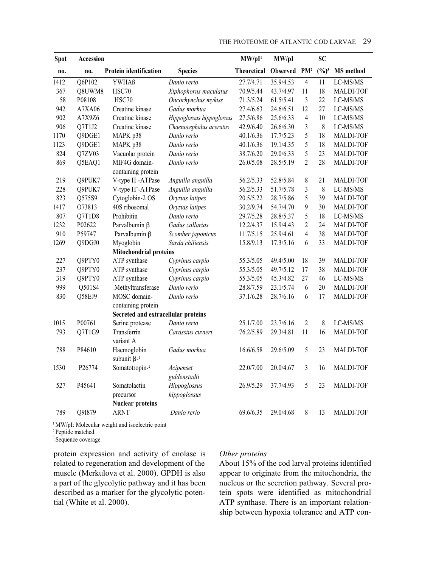| <b>Spot</b> | Accession |                                               |                           | MW/pI <sup>1</sup> | MW/pI     |                | <b>SC</b>         |                          |
|-------------|-----------|-----------------------------------------------|---------------------------|--------------------|-----------|----------------|-------------------|--------------------------|
| no.         | no.       | Protein identification                        | <b>Species</b>            | Theoretical        | Observed  | $PM^2$         | $(\frac{0}{0})^3$ | <b>MS</b> method         |
| 1412        | Q6P102    | <b>YWHAß</b>                                  | Danio rerio               | 27.7/4.71          | 35.9/4.53 | $\overline{4}$ | 11                | LC-MS/MS                 |
| 367         | Q8UWM8    | HSC70                                         | Xiphophorus maculatus     | 70.9/5.44          | 43.7/4.97 | 11             | 18                | MALDI-TOF                |
| 58          | P08108    | HSC70                                         | Oncorhynchus mykiss       | 71.3/5.24          | 61.5/5.41 | 3              | 22                | LC-MS/MS                 |
| 942         | A7XA06    | Creatine kinase                               | Gadus morhua              | 27.4/6.63          | 24.6/6.51 | 12             | 27                | LC-MS/MS                 |
| 902         | A7X9Z6    | Creatine kinase                               | Hippoglossus hippoglossus | 27.5/6.86          | 25.6/6.33 | $\overline{4}$ | 10                | LC-MS/MS                 |
| 906         | Q7T1J2    | Creatine kinase                               | Chaenocephalus aceratus   | 42.9/6.40          | 26.6/6.30 | 3              | $\,8\,$           | LC-MS/MS                 |
| 1170        | Q9DGE1    | MAPK p38                                      | Danio rerio               | 40.1/6.36          | 17.7/5.23 | 5              | 18                | <b>MALDI-TOF</b>         |
| 1123        | Q9DGE1    | MAPK p38                                      | Danio rerio               | 40.1/6.36          | 19.1/4.35 | 5              | 18                | MALDI-TOF                |
| 824         | Q7ZV03    | Vacuolar protein                              | Danio rerio               | 38.7/6.20          | 29.0/6.33 | 5              | 23                | <b>MALDI-TOF</b>         |
| 869         | Q5EAQ1    | MIF4G domain-                                 | Danio rerio               | 26.0/5.08          | 28.5/5.19 | $\overline{c}$ | 28                | MALDI-TOF                |
|             |           | containing protein                            |                           |                    |           |                |                   |                          |
| 219         | Q9PUK7    | V-type H <sup>+</sup> -ATPase                 | Anguilla anguilla         | 56.2/5.33          | 52.8/5.84 | $\,8\,$        | 21                | <b>MALDI-TOF</b>         |
| 228         | Q9PUK7    | V-type H <sup>+</sup> -ATPase                 | Anguilla anguilla         | 56.2/5.33          | 51.7/5.78 | $\overline{3}$ | $\,8\,$           | LC-MS/MS                 |
| 823         | Q575S9    | Cytoglobin-2 OS                               | Oryzias latipes           | 20.5/5.22          | 28.7/5.86 | 5              | 39                | <b>MALDI-TOF</b>         |
| 1417        | 073813    | 40S ribosomal                                 | Oryzias latipes           | 30.2/9.74          | 54.7/4.70 | 9              | 30                | MALDI-TOF                |
| 807         | Q7T1D8    | Prohibitin                                    | Danio rerio               | 29.7/5.28          | 28.8/5.37 | 5              | 18                | LC-MS/MS                 |
| 1232        | P02622    | Parvalbumin $\beta$                           | Gadus callarias           | 12.2/4.37          | 15.9/4.43 | $\overline{2}$ | 24                | <b>MALDI-TOF</b>         |
| 910         | P59747    | Parvalbumin ß                                 | Scomber japonicus         | 11.7/5.15          | 25.9/4.61 | $\overline{4}$ | 38                | MALDI-TOF                |
| 1269        | Q9DGJ0    | Myoglobin                                     | Sarda chiliensis          | 15.8/9.13          | 17.3/5.16 | 6              | 33                | MALDI-TOF                |
|             |           | <b>Mitochondrial proteins</b>                 |                           |                    |           |                |                   |                          |
| 227         | Q9PTY0    | ATP synthase                                  | Cyprinus carpio           | 55.3/5.05          | 49.4/5.00 | 18             | 39                | MALDI-TOF                |
| 237         | O9PTY0    | ATP synthase                                  | Cyprinus carpio           | 55.3/5.05          | 49.7/5.12 | 17             | 38                | MALDI-TOF                |
| 319         | Q9PTY0    | ATP synthase                                  | Cyprinus carpio           | 55.3/5.05          | 45.3/4.82 | 27             | 46                | $_{\rm LC\text{-}MS/MS}$ |
| 999         | Q501S4    | Methyltransferase                             | Danio rerio               | 28.8/7.59          | 23.1/5.74 | 6              | 20                | <b>MALDI-TOF</b>         |
| 830         | Q58EJ9    | MOSC domain-                                  | Danio rerio               | 37.1/6.28          | 28.7/6.16 | 6              | 17                | <b>MALDI-TOF</b>         |
|             |           | containing protein                            |                           |                    |           |                |                   |                          |
|             |           | Secreted and extracellular proteins           |                           |                    |           |                |                   |                          |
| 1015        | P00761    | Serine protease                               | Danio rerio               | 25.1/7.00          | 23.7/6.16 | $\overline{2}$ | $\,$ 8 $\,$       | LC-MS/MS                 |
| 793         | Q7T1G9    | Transferrin                                   | Carassius cuvieri         | 76.2/5.89          | 29.3/4.81 | 11             | 16                | <b>MALDI-TOF</b>         |
|             |           | variant A                                     |                           |                    |           |                |                   |                          |
| 788         | P84610    | Haemoglobin<br>subunit $\beta$ - <sup>1</sup> | Gadus morhua              | 16.6/6.58          | 29.6/5.09 | 5              | 23                | MALDI-TOF                |
| 1530        | P26774    | Somatotropin-2                                | Acipenser                 | 22.0/7.00          | 20.0/4.67 | $\mathfrak{Z}$ | 16                | MALDI-TOF                |
|             |           |                                               | guldenstadti              |                    |           |                |                   |                          |
| 527         | P45641    | Somatolactin                                  | Hippoglossus              | 26.9/5.29          | 37.7/4.93 | 5              | 23                | <b>MALDI-TOF</b>         |
|             |           | precursor                                     | hippoglossus              |                    |           |                |                   |                          |
|             |           | <b>Nuclear proteins</b>                       |                           |                    |           |                |                   |                          |
| 789         | Q9I879    | ARNT                                          | Danio rerio               | 69.6/6.35          | 29.0/4.68 | 8              | 13                | <b>MALDI-TOF</b>         |

<sup>1</sup> MW/pI: Molecular weight and isoelectric point

2 Peptide matched.

<sup>3</sup> Sequence coverage

protein expression and activity of enolase is related to regeneration and development of the muscle (Merkulova et al. 2000). GPDH is also a part of the glycolytic pathway and it has been described as a marker for the glycolytic potential (White et al. 2000).

### *Other proteins*

About 15% of the cod larval proteins identified appear to originate from the mitochondria, the nucleus or the secretion pathway. Several protein spots were identified as mitochondrial ATP synthase. There is an important relationship between hypoxia tolerance and ATP con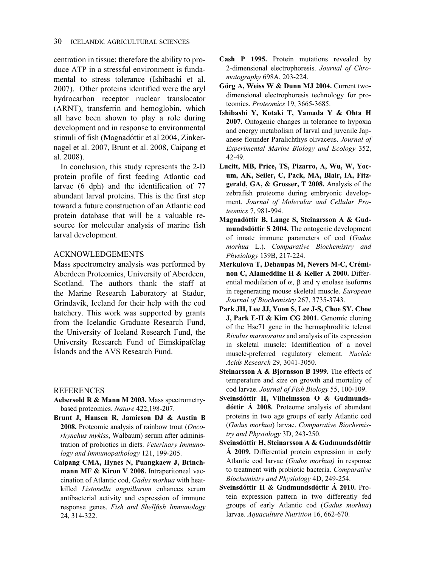centration in tissue; therefore the ability to produce ATP in a stressful environment is fundamental to stress tolerance (Ishibashi et al. 2007). Other proteins identified were the aryl hydrocarbon receptor nuclear translocator (ARNT), transferrin and hemoglobin, which all have been shown to play a role during development and in response to environmental stimuli of fish (Magnadóttir et al 2004, Zinkernagel et al. 2007, Brunt et al. 2008, Caipang et al. 2008).

In conclusion, this study represents the 2-D protein profile of first feeding Atlantic cod larvae (6 dph) and the identification of 77 abundant larval proteins. This is the first step toward a future construction of an Atlantic cod protein database that will be a valuable resource for molecular analysis of marine fish larval development.

### ACKNOWLEDGEMENTS

Mass spectrometry analysis was performed by Aberdeen Proteomics, University of Aberdeen, Scotland. The authors thank the staff at the Marine Research Laboratory at Stadur, Grindavík, Iceland for their help with the cod hatchery. This work was supported by grants from the Icelandic Graduate Research Fund, the University of Iceland Research Fund, the University Research Fund of Eimskipafélag Íslands and the AVS Research Fund.

#### REFERENCES

- **Aebersold R & Mann M 2003.** Mass spectrometrybased proteomics. *Nature* 422,198-207.
- **Brunt J, Hansen R, Jamieson DJ & Austin B 2008.** Proteomic analysis of rainbow trout (*Oncorhynchus mykiss*, Walbaum) serum after administration of probiotics in diets. *Veterinary Immunology and Immunopathology* 121, 199-205.
- **Caipang CMA, Hynes N, Puangkaew J, Brinchmann MF & Kiron V 2008.** Intraperitoneal vaccination of Atlantic cod, *Gadus morhua* with heatkilled *Listonella anguillarum* enhances serum antibacterial activity and expression of immune response genes. *Fish and Shellfish Immunology*  24, 314-322.
- **Cash P 1995.** Protein mutations revealed by 2-dimensional electrophoresis. *Journal of Chromatography* 698A, 203-224.
- **Görg A, Weiss W & Dunn MJ 2004.** Current twodimensional electrophoresis technology for proteomics. *Proteomics* 19, 3665-3685.
- **Ishibashi Y, Kotaki T, Yamada Y & Ohta H 2007.** Ontogenic changes in tolerance to hypoxia and energy metabolism of larval and juvenile Japanese flounder Paralichthys olivaceus. *Journal of Experimental Marine Biology and Ecology* 352, 42-49.
- **Lucitt, MB, Price, TS, Pizarro, A, Wu, W, Yocum, AK, Seiler, C, Pack, MA, Blair, IA, Fitzgerald, GA, & Grosser, T 2008.** Analysis of the zebrafish proteome during embryonic development. *Journal of Molecular and Cellular Proteomics* 7, 981-994.
- **Magnadóttir B, Lange S, Steinarsson A & Gudmundsdóttir S 2004.** The ontogenic development of innate immune parameters of cod (*Gadus morhua* L.). *Comparative Biochemistry and Physiology* 139B, 217-224.
- **Merkulova T, Dehaupas M, Nevers M-C, Créminon C, Alameddine H & Keller A 2000.** Differential modulation of  $\alpha$ ,  $\beta$  and  $\gamma$  enolase isoforms in regenerating mouse skeletal muscle. *European Journal of Biochemistry* 267, 3735-3743.
- **Park JH, Lee JJ, Yoon S, Lee J-S, Choe SY, Choe J, Park E-H & Kim CG 2001.** Genomic cloning of the Hsc71 gene in the hermaphroditic teleost *Rivulus marmoratus* and analysis of its expression in skeletal muscle: Identification of a novel muscle-preferred regulatory element. *Nucleic Acids Research* 29, 3041-3050.
- **Steinarsson A & Bjornsson B 1999.** The effects of temperature and size on growth and mortality of cod larvae. *Journal of Fish Biology* 55, 100-109.
- **Sveinsdóttir H, Vilhelmsson O & Gudmundsdóttir Á 2008.** Proteome analysis of abundant proteins in two age groups of early Atlantic cod (*Gadus morhua*) larvae. *Comparative Biochemistry and Physiology* 3D, 243-250.
- **Sveinsdóttir H, Steinarsson A & Gudmundsdóttir Á 2009.** Differential protein expression in early Atlantic cod larvae (*Gadus morhua)* in response to treatment with probiotic bacteria. *Comparative Biochemistry and Physiology* 4D, 249-254.
- **Sveinsdóttir H & Gudmundsdóttir Á 2010.** Protein expression pattern in two differently fed groups of early Atlantic cod (*Gadus morhua*) larvae. *Aquaculture Nutrition* 16, 662-670.